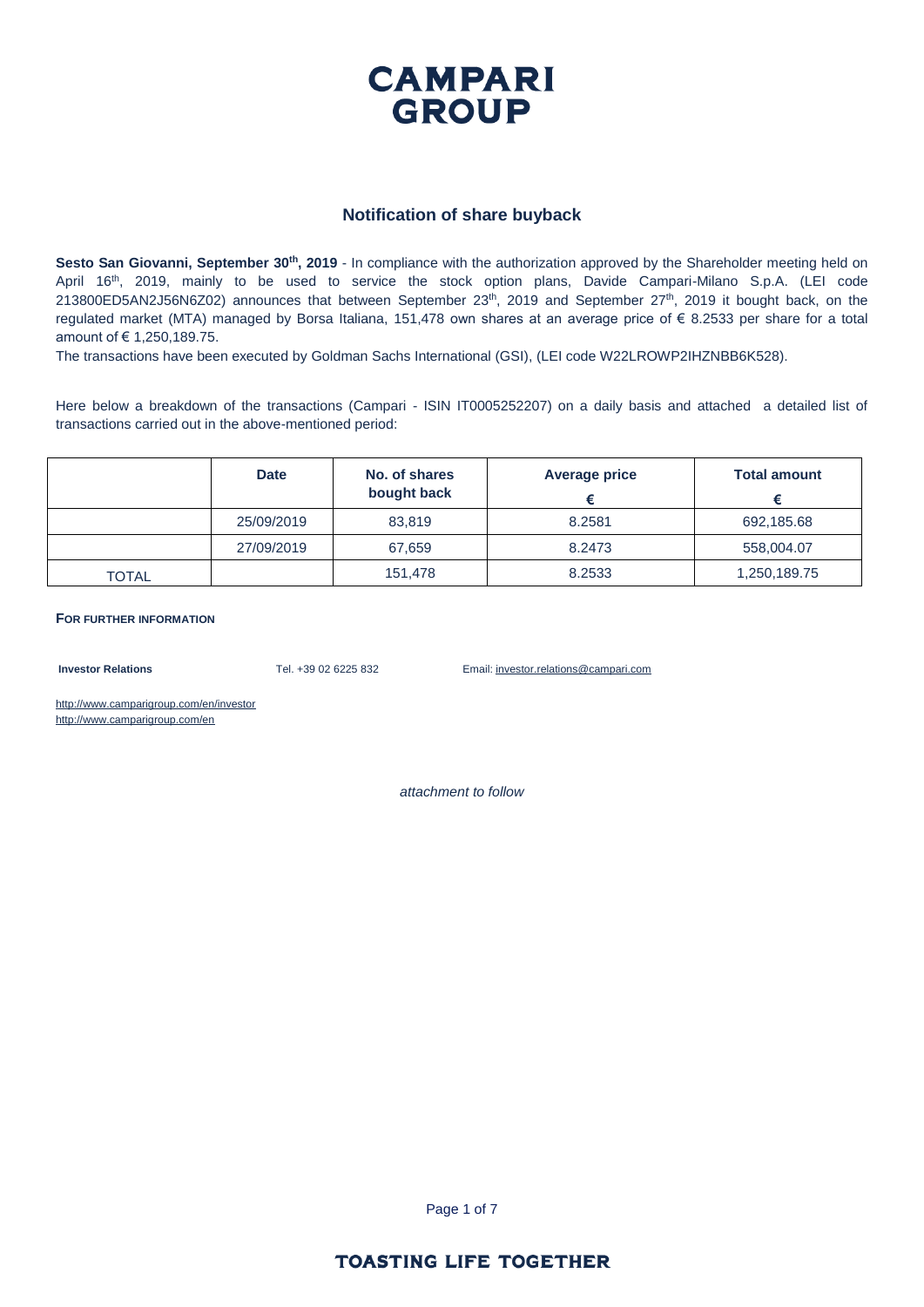

#### **Notification of share buyback**

**Sesto San Giovanni, September 30<sup>th</sup>, 2019** - In compliance with the authorization approved by the Shareholder meeting held on April 16th, 2019, mainly to be used to service the stock option plans, Davide Campari-Milano S.p.A. (LEI code  $213800ED5AN2J56NGZ02$ ) announces that between September  $23<sup>th</sup>$ , 2019 and September  $27<sup>th</sup>$ , 2019 it bought back, on the regulated market (MTA) managed by Borsa Italiana, 151,478 own shares at an average price of € 8.2533 per share for a total amount of € 1,250,189.75.

The transactions have been executed by Goldman Sachs International (GSI), (LEI code W22LROWP2IHZNBB6K528).

Here below a breakdown of the transactions (Campari - ISIN IT0005252207) on a daily basis and attached a detailed list of transactions carried out in the above-mentioned period:

|              | <b>Date</b> | No. of shares<br>bought back | <b>Average price</b> | <b>Total amount</b> |
|--------------|-------------|------------------------------|----------------------|---------------------|
|              | 25/09/2019  | 83.819                       | 8.2581               | 692,185.68          |
|              | 27/09/2019  | 67,659                       | 8.2473               | 558,004.07          |
| <b>TOTAL</b> |             | 151.478                      | 8.2533               | 1,250,189.75        |

**FOR FURTHER INFORMATION**

**Investor Relations** Tel. +39 02 6225 832 Email: investor.relations@campari.com

http://www.camparigroup.com/en/investor http://www.camparigroup.com/en

*attachment to follow*

Page 1 of 7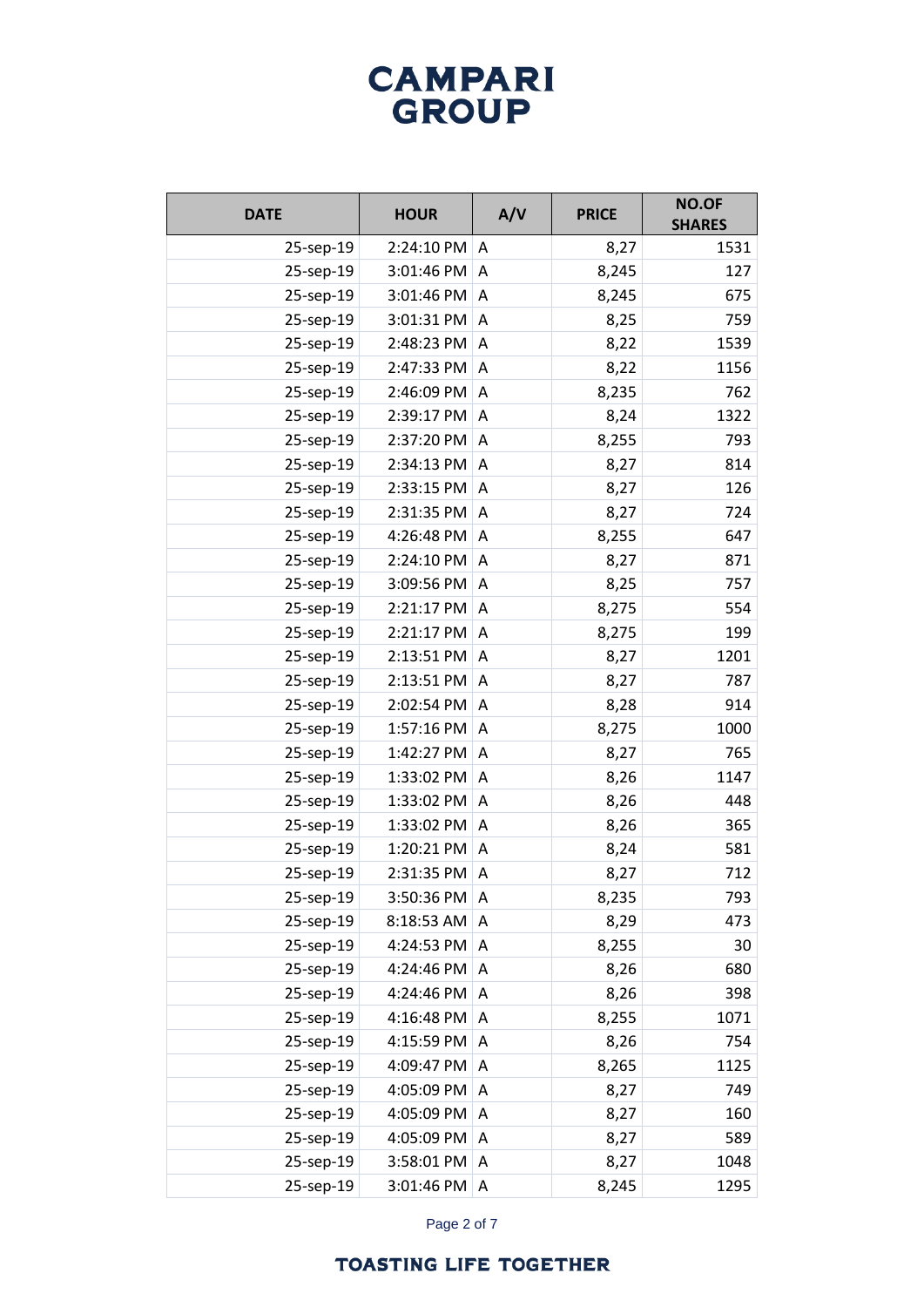### **CAMPARI** GROUP

| <b>DATE</b> | <b>HOUR</b> | A/V            | <b>PRICE</b> | NO.OF<br><b>SHARES</b> |
|-------------|-------------|----------------|--------------|------------------------|
| 25-sep-19   | 2:24:10 PM  | A              | 8,27         | 1531                   |
| 25-sep-19   | 3:01:46 PM  | A              | 8,245        | 127                    |
| 25-sep-19   | 3:01:46 PM  | A              | 8,245        | 675                    |
| 25-sep-19   | 3:01:31 PM  | A              | 8,25         | 759                    |
| 25-sep-19   | 2:48:23 PM  | A              | 8,22         | 1539                   |
| 25-sep-19   | 2:47:33 PM  | A              | 8,22         | 1156                   |
| 25-sep-19   | 2:46:09 PM  | A              | 8,235        | 762                    |
| 25-sep-19   | 2:39:17 PM  | A              | 8,24         | 1322                   |
| 25-sep-19   | 2:37:20 PM  | A              | 8,255        | 793                    |
| 25-sep-19   | 2:34:13 PM  | A              | 8,27         | 814                    |
| 25-sep-19   | 2:33:15 PM  | A              | 8,27         | 126                    |
| 25-sep-19   | 2:31:35 PM  | A              | 8,27         | 724                    |
| 25-sep-19   | 4:26:48 PM  | A              | 8,255        | 647                    |
| 25-sep-19   | 2:24:10 PM  | A              | 8,27         | 871                    |
| 25-sep-19   | 3:09:56 PM  | $\overline{A}$ | 8,25         | 757                    |
| 25-sep-19   | 2:21:17 PM  | A              | 8,275        | 554                    |
| 25-sep-19   | 2:21:17 PM  | Α              | 8,275        | 199                    |
| 25-sep-19   | 2:13:51 PM  | A              | 8,27         | 1201                   |
| 25-sep-19   | 2:13:51 PM  | Α              | 8,27         | 787                    |
| 25-sep-19   | 2:02:54 PM  | A              | 8,28         | 914                    |
| 25-sep-19   | 1:57:16 PM  | A              | 8,275        | 1000                   |
| 25-sep-19   | 1:42:27 PM  | A              | 8,27         | 765                    |
| 25-sep-19   | 1:33:02 PM  | A              | 8,26         | 1147                   |
| 25-sep-19   | 1:33:02 PM  | Α              | 8,26         | 448                    |
| 25-sep-19   | 1:33:02 PM  | A              | 8,26         | 365                    |
| 25-sep-19   | 1:20:21 PM  | A              | 8,24         | 581                    |
| 25-sep-19   | 2:31:35 PM  | A              | 8,27         | 712                    |
| 25-sep-19   | 3:50:36 PM  | A              | 8,235        | 793                    |
| 25-sep-19   | 8:18:53 AM  | Α              | 8,29         | 473                    |
| 25-sep-19   | 4:24:53 PM  | Α              | 8,255        | 30                     |
| 25-sep-19   | 4:24:46 PM  | A              | 8,26         | 680                    |
| 25-sep-19   | 4:24:46 PM  | Α              | 8,26         | 398                    |
| 25-sep-19   | 4:16:48 PM  | Α              | 8,255        | 1071                   |
| 25-sep-19   | 4:15:59 PM  | Α              | 8,26         | 754                    |
| 25-sep-19   | 4:09:47 PM  | Α              | 8,265        | 1125                   |
| 25-sep-19   | 4:05:09 PM  | Α              | 8,27         | 749                    |
| 25-sep-19   | 4:05:09 PM  | Α              | 8,27         | 160                    |
| 25-sep-19   | 4:05:09 PM  | Α              | 8,27         | 589                    |
| 25-sep-19   | 3:58:01 PM  | A              | 8,27         | 1048                   |
| 25-sep-19   | 3:01:46 PM  | Α              | 8,245        | 1295                   |

Page 2 of 7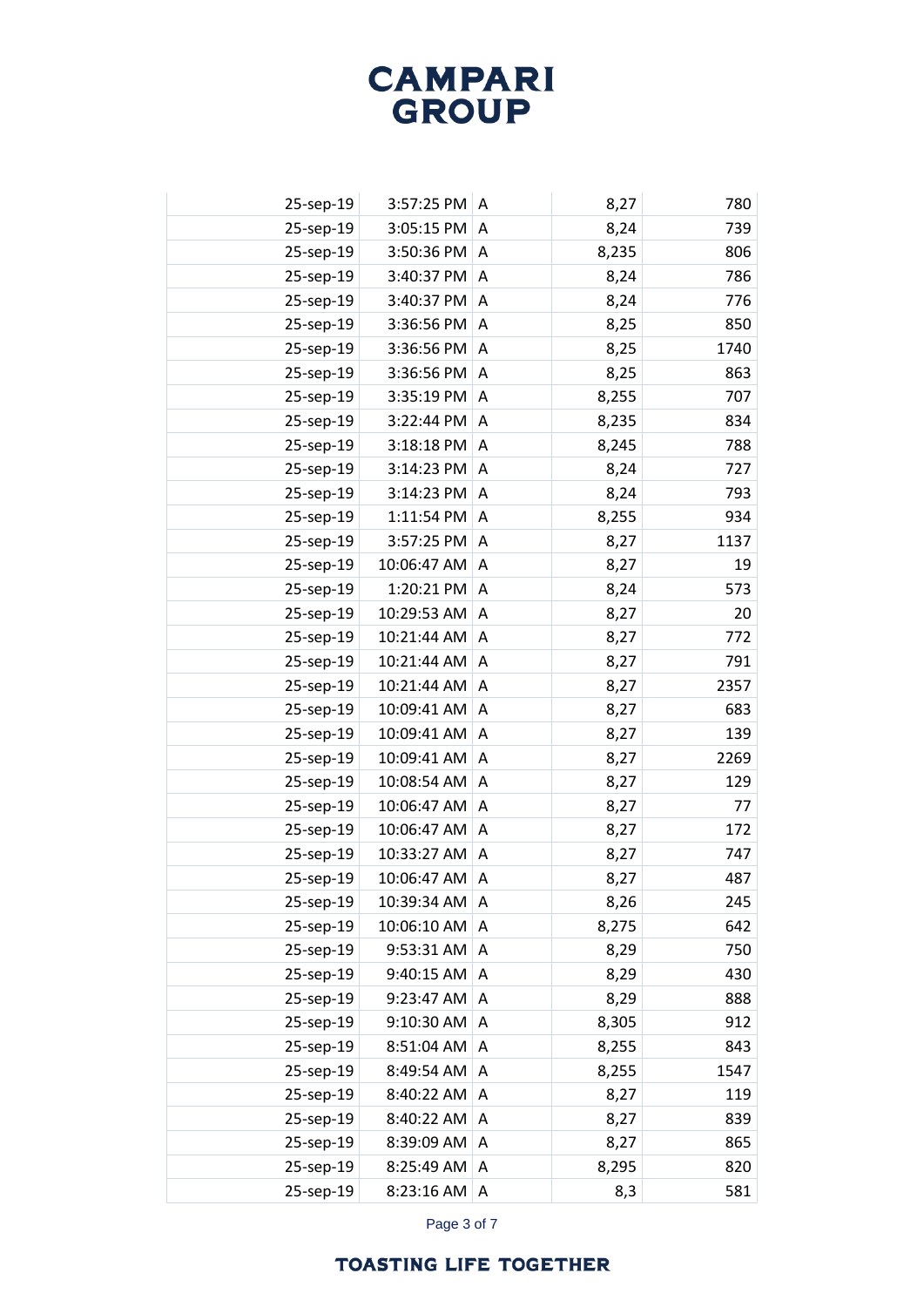| 25-sep-19 | 3:57:25 PM  | A | 8,27  | 780  |
|-----------|-------------|---|-------|------|
| 25-sep-19 | 3:05:15 PM  | A | 8,24  | 739  |
| 25-sep-19 | 3:50:36 PM  | A | 8,235 | 806  |
| 25-sep-19 | 3:40:37 PM  | A | 8,24  | 786  |
| 25-sep-19 | 3:40:37 PM  | A | 8,24  | 776  |
| 25-sep-19 | 3:36:56 PM  | A | 8,25  | 850  |
| 25-sep-19 | 3:36:56 PM  | A | 8,25  | 1740 |
| 25-sep-19 | 3:36:56 PM  | Α | 8,25  | 863  |
| 25-sep-19 | 3:35:19 PM  | A | 8,255 | 707  |
| 25-sep-19 | 3:22:44 PM  | A | 8,235 | 834  |
| 25-sep-19 | 3:18:18 PM  | A | 8,245 | 788  |
| 25-sep-19 | 3:14:23 PM  | A | 8,24  | 727  |
| 25-sep-19 | 3:14:23 PM  | Α | 8,24  | 793  |
| 25-sep-19 | 1:11:54 PM  | A | 8,255 | 934  |
| 25-sep-19 | 3:57:25 PM  | A | 8,27  | 1137 |
| 25-sep-19 | 10:06:47 AM | A | 8,27  | 19   |
| 25-sep-19 | 1:20:21 PM  | A | 8,24  | 573  |
| 25-sep-19 | 10:29:53 AM | Α | 8,27  | 20   |
| 25-sep-19 | 10:21:44 AM | A | 8,27  | 772  |
| 25-sep-19 | 10:21:44 AM | A | 8,27  | 791  |
| 25-sep-19 | 10:21:44 AM | A | 8,27  | 2357 |
| 25-sep-19 | 10:09:41 AM | Α | 8,27  | 683  |
| 25-sep-19 | 10:09:41 AM | A | 8,27  | 139  |
| 25-sep-19 | 10:09:41 AM | A | 8,27  | 2269 |
| 25-sep-19 | 10:08:54 AM | A | 8,27  | 129  |
| 25-sep-19 | 10:06:47 AM | A | 8,27  | 77   |
| 25-sep-19 | 10:06:47 AM | A | 8,27  | 172  |
| 25-sep-19 | 10:33:27 AM | A | 8,27  | 747  |
| 25-sep-19 | 10:06:47 AM | Α | 8,27  | 487  |
| 25-sep-19 | 10:39:34 AM | Α | 8,26  | 245  |
| 25-sep-19 | 10:06:10 AM | Α | 8,275 | 642  |
| 25-sep-19 | 9:53:31 AM  | A | 8,29  | 750  |
| 25-sep-19 | 9:40:15 AM  | Α | 8,29  | 430  |
| 25-sep-19 | 9:23:47 AM  | A | 8,29  | 888  |
| 25-sep-19 | 9:10:30 AM  | Α | 8,305 | 912  |
| 25-sep-19 | 8:51:04 AM  | Α | 8,255 | 843  |
| 25-sep-19 | 8:49:54 AM  | Α | 8,255 | 1547 |
| 25-sep-19 | 8:40:22 AM  | Α | 8,27  | 119  |
| 25-sep-19 | 8:40:22 AM  | A | 8,27  | 839  |
| 25-sep-19 | 8:39:09 AM  | Α | 8,27  | 865  |
| 25-sep-19 | 8:25:49 AM  | A | 8,295 | 820  |
| 25-sep-19 | 8:23:16 AM  | Α | 8,3   | 581  |

Page 3 of 7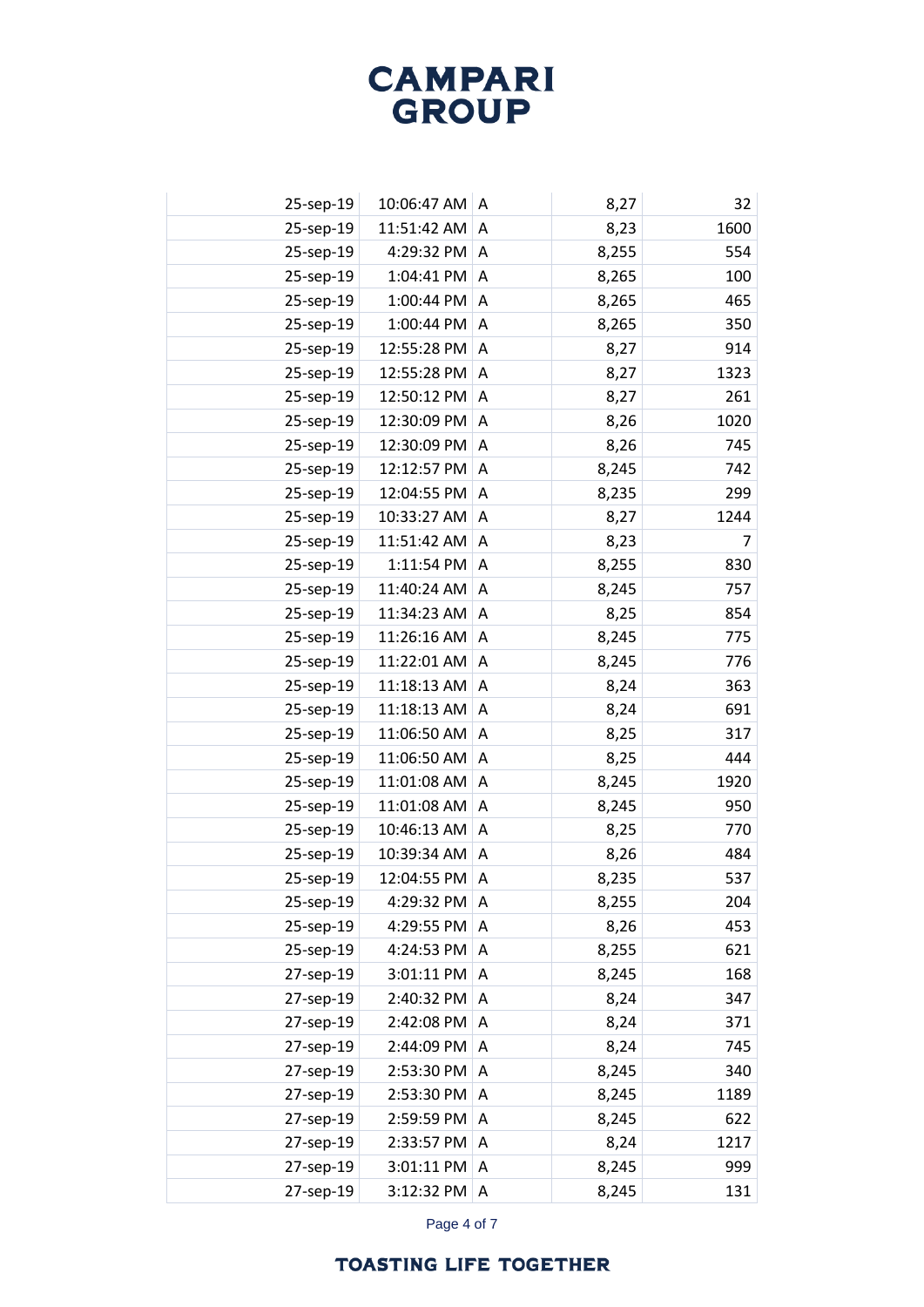| 25-sep-19 | 10:06:47 AM A     |                | 8,27  | 32   |
|-----------|-------------------|----------------|-------|------|
| 25-sep-19 | 11:51:42 AM       | A              | 8,23  | 1600 |
| 25-sep-19 | 4:29:32 PM        | $\overline{A}$ | 8,255 | 554  |
| 25-sep-19 | 1:04:41 PM        | A              | 8,265 | 100  |
| 25-sep-19 | 1:00:44 PM        | A              | 8,265 | 465  |
| 25-sep-19 | 1:00:44 PM A      |                | 8,265 | 350  |
| 25-sep-19 | 12:55:28 PM       | A              | 8,27  | 914  |
| 25-sep-19 | 12:55:28 PM       | A              | 8,27  | 1323 |
| 25-sep-19 | 12:50:12 PM       | A              | 8,27  | 261  |
| 25-sep-19 | 12:30:09 PM A     |                | 8,26  | 1020 |
| 25-sep-19 | 12:30:09 PM A     |                | 8,26  | 745  |
| 25-sep-19 | 12:12:57 PM       | A              | 8,245 | 742  |
| 25-sep-19 | 12:04:55 PM       | A              | 8,235 | 299  |
| 25-sep-19 | 10:33:27 AM       | A              | 8,27  | 1244 |
| 25-sep-19 | 11:51:42 AM       | A              | 8,23  | 7    |
| 25-sep-19 | $1:11:54$ PM $ A$ |                | 8,255 | 830  |
| 25-sep-19 | 11:40:24 AM       | $\overline{A}$ | 8,245 | 757  |
| 25-sep-19 | 11:34:23 AM       | Α              | 8,25  | 854  |
| 25-sep-19 | 11:26:16 AM       | A              | 8,245 | 775  |
| 25-sep-19 | 11:22:01 AM       | A              | 8,245 | 776  |
| 25-sep-19 | 11:18:13 AM       | A              | 8,24  | 363  |
| 25-sep-19 | 11:18:13 AM       | A              | 8,24  | 691  |
| 25-sep-19 | 11:06:50 AM       | A              | 8,25  | 317  |
| 25-sep-19 | 11:06:50 AM       | A              | 8,25  | 444  |
| 25-sep-19 | 11:01:08 AM       | A              | 8,245 | 1920 |
| 25-sep-19 | 11:01:08 AM       | A              | 8,245 | 950  |
| 25-sep-19 | 10:46:13 AM       | A              | 8,25  | 770  |
| 25-sep-19 | 10:39:34 AM       | A              | 8,26  | 484  |
| 25-sep-19 | 12:04:55 PM       | A              | 8,235 | 537  |
| 25-sep-19 | 4:29:32 PM        | A              | 8,255 | 204  |
| 25-sep-19 | 4:29:55 PM        | Α              | 8,26  | 453  |
| 25-sep-19 | 4:24:53 PM        | Α              | 8,255 | 621  |
| 27-sep-19 | 3:01:11 PM        | Α              | 8,245 | 168  |
| 27-sep-19 | 2:40:32 PM        | A              | 8,24  | 347  |
| 27-sep-19 | 2:42:08 PM        | A              | 8,24  | 371  |
| 27-sep-19 | 2:44:09 PM        | Α              | 8,24  | 745  |
| 27-sep-19 | 2:53:30 PM        | A              | 8,245 | 340  |
| 27-sep-19 | 2:53:30 PM        | Α              | 8,245 | 1189 |
| 27-sep-19 | 2:59:59 PM        | Α              | 8,245 | 622  |
| 27-sep-19 | 2:33:57 PM        | A              | 8,24  | 1217 |
| 27-sep-19 | 3:01:11 PM        | A              | 8,245 | 999  |
| 27-sep-19 | 3:12:32 PM        | A              | 8,245 | 131  |

Page 4 of 7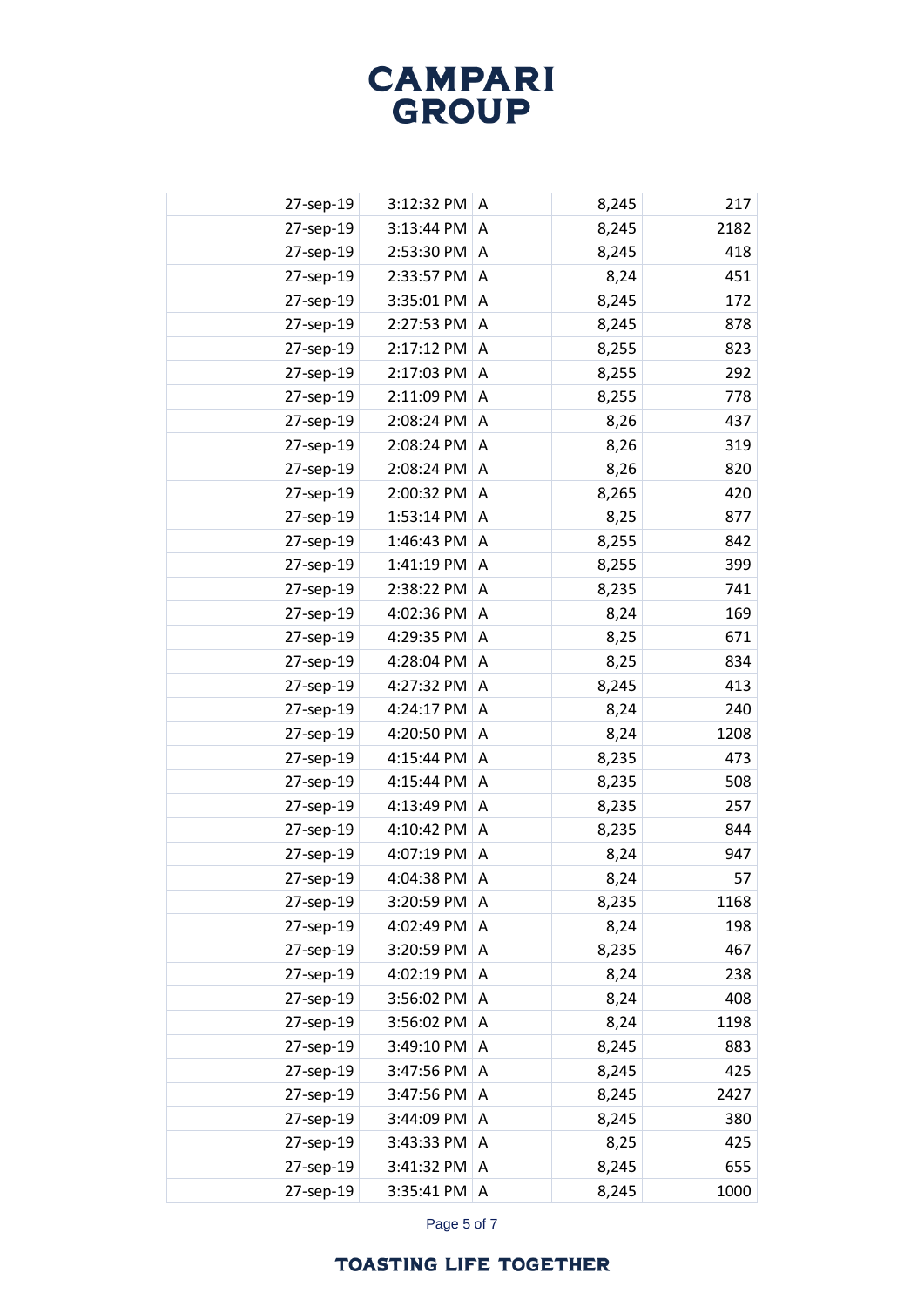| 27-sep-19 | 3:12:32 PM | Α | 8,245 | 217  |
|-----------|------------|---|-------|------|
| 27-sep-19 | 3:13:44 PM | A | 8,245 | 2182 |
| 27-sep-19 | 2:53:30 PM | A | 8,245 | 418  |
| 27-sep-19 | 2:33:57 PM | A | 8,24  | 451  |
| 27-sep-19 | 3:35:01 PM | A | 8,245 | 172  |
| 27-sep-19 | 2:27:53 PM | A | 8,245 | 878  |
| 27-sep-19 | 2:17:12 PM | Α | 8,255 | 823  |
| 27-sep-19 | 2:17:03 PM | A | 8,255 | 292  |
| 27-sep-19 | 2:11:09 PM | A | 8,255 | 778  |
| 27-sep-19 | 2:08:24 PM | A | 8,26  | 437  |
| 27-sep-19 | 2:08:24 PM | A | 8,26  | 319  |
| 27-sep-19 | 2:08:24 PM | A | 8,26  | 820  |
| 27-sep-19 | 2:00:32 PM | A | 8,265 | 420  |
| 27-sep-19 | 1:53:14 PM | A | 8,25  | 877  |
| 27-sep-19 | 1:46:43 PM | A | 8,255 | 842  |
| 27-sep-19 | 1:41:19 PM | A | 8,255 | 399  |
| 27-sep-19 | 2:38:22 PM | A | 8,235 | 741  |
| 27-sep-19 | 4:02:36 PM | A | 8,24  | 169  |
| 27-sep-19 | 4:29:35 PM | Α | 8,25  | 671  |
| 27-sep-19 | 4:28:04 PM | A | 8,25  | 834  |
| 27-sep-19 | 4:27:32 PM | A | 8,245 | 413  |
| 27-sep-19 | 4:24:17 PM | Α | 8,24  | 240  |
| 27-sep-19 | 4:20:50 PM | A | 8,24  | 1208 |
| 27-sep-19 | 4:15:44 PM | A | 8,235 | 473  |
| 27-sep-19 | 4:15:44 PM | A | 8,235 | 508  |
| 27-sep-19 | 4:13:49 PM | A | 8,235 | 257  |
| 27-sep-19 | 4:10:42 PM | A | 8,235 | 844  |
| 27-sep-19 | 4:07:19 PM | A | 8,24  | 947  |
| 27-sep-19 | 4:04:38 PM | Α | 8,24  | 57   |
| 27-sep-19 | 3:20:59 PM | A | 8,235 | 1168 |
| 27-sep-19 | 4:02:49 PM | A | 8,24  | 198  |
| 27-sep-19 | 3:20:59 PM | Α | 8,235 | 467  |
| 27-sep-19 | 4:02:19 PM | A | 8,24  | 238  |
| 27-sep-19 | 3:56:02 PM | Α | 8,24  | 408  |
| 27-sep-19 | 3:56:02 PM | Α | 8,24  | 1198 |
| 27-sep-19 | 3:49:10 PM | Α | 8,245 | 883  |
| 27-sep-19 | 3:47:56 PM | A | 8,245 | 425  |
| 27-sep-19 | 3:47:56 PM | Α | 8,245 | 2427 |
| 27-sep-19 | 3:44:09 PM | A | 8,245 | 380  |
| 27-sep-19 | 3:43:33 PM | Α | 8,25  | 425  |
| 27-sep-19 | 3:41:32 PM | A | 8,245 | 655  |
| 27-sep-19 | 3:35:41 PM | A | 8,245 | 1000 |

Page 5 of 7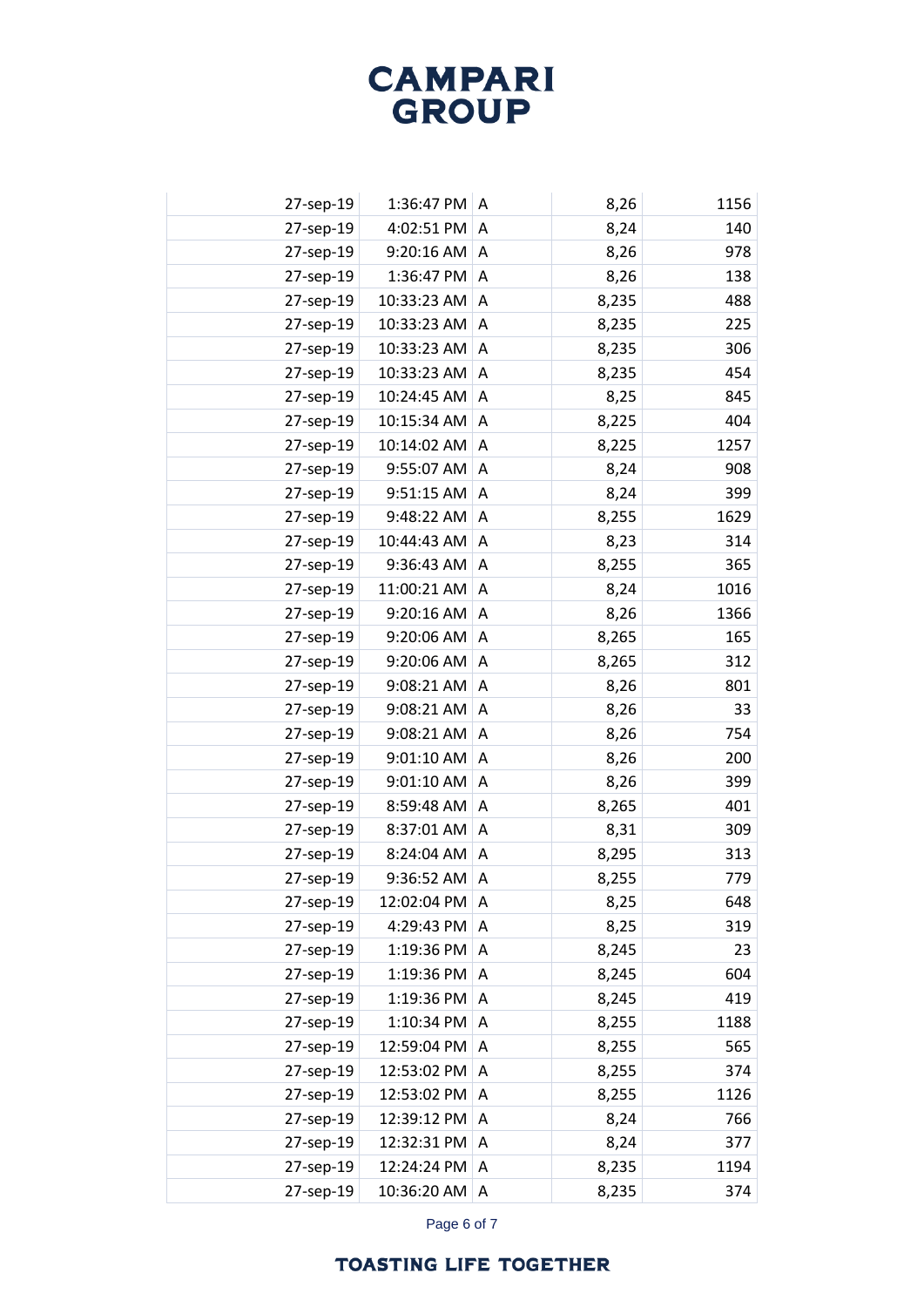| 27-sep-19 | 1:36:47 PM  | A | 8,26  | 1156 |
|-----------|-------------|---|-------|------|
| 27-sep-19 | 4:02:51 PM  | A | 8,24  | 140  |
| 27-sep-19 | 9:20:16 AM  | A | 8,26  | 978  |
| 27-sep-19 | 1:36:47 PM  | A | 8,26  | 138  |
| 27-sep-19 | 10:33:23 AM | A | 8,235 | 488  |
| 27-sep-19 | 10:33:23 AM | A | 8,235 | 225  |
| 27-sep-19 | 10:33:23 AM | A | 8,235 | 306  |
| 27-sep-19 | 10:33:23 AM | Α | 8,235 | 454  |
| 27-sep-19 | 10:24:45 AM | A | 8,25  | 845  |
| 27-sep-19 | 10:15:34 AM | A | 8,225 | 404  |
| 27-sep-19 | 10:14:02 AM | A | 8,225 | 1257 |
| 27-sep-19 | 9:55:07 AM  | A | 8,24  | 908  |
| 27-sep-19 | 9:51:15 AM  | A | 8,24  | 399  |
| 27-sep-19 | 9:48:22 AM  | A | 8,255 | 1629 |
| 27-sep-19 | 10:44:43 AM | Α | 8,23  | 314  |
| 27-sep-19 | 9:36:43 AM  | A | 8,255 | 365  |
| 27-sep-19 | 11:00:21 AM | A | 8,24  | 1016 |
| 27-sep-19 | 9:20:16 AM  | Α | 8,26  | 1366 |
| 27-sep-19 | 9:20:06 AM  | A | 8,265 | 165  |
| 27-sep-19 | 9:20:06 AM  | Α | 8,265 | 312  |
| 27-sep-19 | 9:08:21 AM  | Α | 8,26  | 801  |
| 27-sep-19 | 9:08:21 AM  | A | 8,26  | 33   |
| 27-sep-19 | 9:08:21 AM  | A | 8,26  | 754  |
| 27-sep-19 | 9:01:10 AM  | A | 8,26  | 200  |
| 27-sep-19 | 9:01:10 AM  | Α | 8,26  | 399  |
| 27-sep-19 | 8:59:48 AM  | A | 8,265 | 401  |
| 27-sep-19 | 8:37:01 AM  | A | 8,31  | 309  |
| 27-sep-19 | 8:24:04 AM  | Α | 8,295 | 313  |
| 27-sep-19 | 9:36:52 AM  | Α | 8,255 | 779  |
| 27-sep-19 | 12:02:04 PM | A | 8,25  | 648  |
| 27-sep-19 | 4:29:43 PM  | Α | 8,25  | 319  |
| 27-sep-19 | 1:19:36 PM  | A | 8,245 | 23   |
| 27-sep-19 | 1:19:36 PM  | A | 8,245 | 604  |
| 27-sep-19 | 1:19:36 PM  | A | 8,245 | 419  |
| 27-sep-19 | 1:10:34 PM  | Α | 8,255 | 1188 |
| 27-sep-19 | 12:59:04 PM | A | 8,255 | 565  |
| 27-sep-19 | 12:53:02 PM | Α | 8,255 | 374  |
| 27-sep-19 | 12:53:02 PM | Α | 8,255 | 1126 |
| 27-sep-19 | 12:39:12 PM | A | 8,24  | 766  |
| 27-sep-19 | 12:32:31 PM | Α | 8,24  | 377  |
| 27-sep-19 | 12:24:24 PM | A | 8,235 | 1194 |
| 27-sep-19 | 10:36:20 AM | Α | 8,235 | 374  |

Page 6 of 7